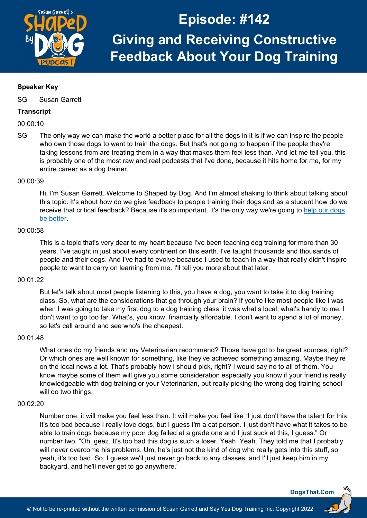

# **Speaker Key**

SG Susan Garrett

## **Transcript**

00:00:10

SG The only way we can make the world a better place for all the dogs in it is if we can inspire the people who own those dogs to want to train the dogs. But that's not going to happen if the people they're taking lessons from are treating them in a way that makes them feel less than. And let me tell you, this is probably one of the most raw and real podcasts that I've done, because it hits home for me, for my entire career as a dog trainer.

#### 00:00:39

Hi, I'm Susan Garrett. Welcome to Shaped by Dog. And I'm almost shaking to think about talking about this topic. It's about how do we give feedback to people training their dogs and as a student how do we receive that critical feedback? Because it's so important. It's the only way we're going to [help our dogs](https://dogsthat.com/podcast/100/)  [be better.](https://dogsthat.com/podcast/100/)

## 00:00:58

This is a topic that's very dear to my heart because I've been teaching dog training for more than 30 years. I've taught in just about every continent on this earth. I've taught thousands and thousands of people and their dogs. And I've had to evolve because I used to teach in a way that really didn't inspire people to want to carry on learning from me. I'll tell you more about that later.

## 00:01:22

But let's talk about most people listening to this, you have a dog, you want to take it to dog training class. So, what are the considerations that go through your brain? If you're like most people like I was when I was going to take my first dog to a dog training class, it was what's local, what's handy to me. I don't want to go too far. What's, you know, financially affordable. I don't want to spend a lot of money, so let's call around and see who's the cheapest.

#### 00:01:48

What ones do my friends and my Veterinarian recommend? Those have got to be great sources, right? Or which ones are well known for something, like they've achieved something amazing. Maybe they're on the local news a lot. That's probably how I should pick, right? I would say no to all of them. You know maybe some of them will give you some consideration especially you know if your friend is really knowledgeable with dog training or your Veterinarian, but really picking the wrong dog training school will do two things.

# 00:02:20

Number one, it will make you feel less than. It will make you feel like "I just don't have the talent for this. It's too bad because I really love dogs, but I guess I'm a cat person. I just don't have what it takes to be able to train dogs because my poor dog failed at a grade one and I just suck at this, I guess." Or number two. "Oh, geez. It's too bad this dog is such a loser. Yeah. Yeah. They told me that I probably will never overcome his problems. Um, he's just not the kind of dog who really gets into this stuff, so yeah, it's too bad. So, I guess we'll just never go back to any classes, and I'll just keep him in my backyard, and he'll never get to go anywhere."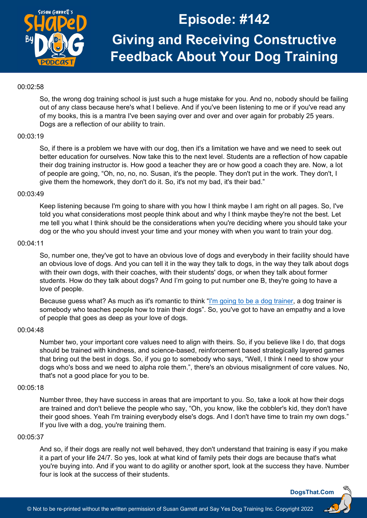

### 00:02:58

So, the wrong dog training school is just such a huge mistake for you. And no, nobody should be failing out of any class because here's what I believe. And if you've been listening to me or if you've read any of my books, this is a mantra I've been saying over and over and over again for probably 25 years. Dogs are a reflection of our ability to train.

# 00:03:19

So, if there is a problem we have with our dog, then it's a limitation we have and we need to seek out better education for ourselves. Now take this to the next level. Students are a reflection of how capable their dog training instructor is. How good a teacher they are or how good a coach they are. Now, a lot of people are going, "Oh, no, no, no. Susan, it's the people. They don't put in the work. They don't, I give them the homework, they don't do it. So, it's not my bad, it's their bad."

#### 00:03:49

Keep listening because I'm going to share with you how I think maybe I am right on all pages. So, I've told you what considerations most people think about and why I think maybe they're not the best. Let me tell you what I think should be the considerations when you're deciding where you should take your dog or the who you should invest your time and your money with when you want to train your dog.

## 00:04:11

So, number one, they've got to have an obvious love of dogs and everybody in their facility should have an obvious love of dogs. And you can tell it in the way they talk to dogs, in the way they talk about dogs with their own dogs, with their coaches, with their students' dogs, or when they talk about former students. How do they talk about dogs? And I'm going to put number one B, they're going to have a love of people.

Because guess what? As much as it's romantic to think ["I'm going to be a dog trainer,](https://dogsthat.com/podcast/37/) a dog trainer is somebody who teaches people how to train their dogs". So, you've got to have an empathy and a love of people that goes as deep as your love of dogs.

#### 00:04:48

Number two, your important core values need to align with theirs. So, if you believe like I do, that dogs should be trained with kindness, and science-based, reinforcement based strategically layered games that bring out the best in dogs. So, if you go to somebody who says, "Well, I think I need to show your dogs who's boss and we need to alpha role them.", there's an obvious misalignment of core values. No, that's not a good place for you to be.

## 00:05:18

Number three, they have success in areas that are important to you. So, take a look at how their dogs are trained and don't believe the people who say, "Oh, you know, like the cobbler's kid, they don't have their good shoes. Yeah I'm training everybody else's dogs. And I don't have time to train my own dogs." If you live with a dog, you're training them.

#### 00:05:37

And so, if their dogs are really not well behaved, they don't understand that training is easy if you make it a part of your life 24/7. So yes, look at what kind of family pets their dogs are because that's what you're buying into. And if you want to do agility or another sport, look at the success they have. Number four is look at the success of their students.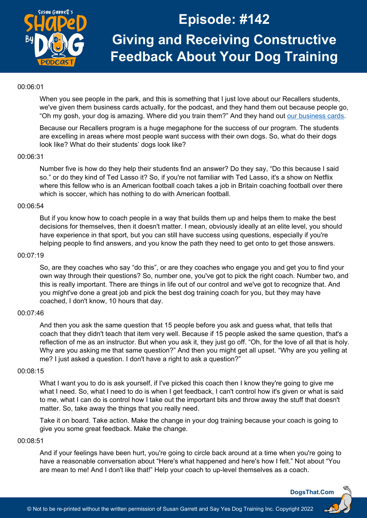

### 00:06:01

When you see people in the park, and this is something that I just love about our Recallers students, we've given them business cards actually, for the podcast, and they hand them out because people go, "Oh my gosh, your dog is amazing. Where did you train them?" And they hand out [our business cards.](https://dogsthat.com/business-cards/)

Because our Recallers program is a huge megaphone for the success of our program. The students are excelling in areas where most people want success with their own dogs. So, what do their dogs look like? What do their students' dogs look like?

## 00:06:31

Number five is how do they help their students find an answer? Do they say, "Do this because I said so." or do they kind of Ted Lasso it? So, if you're not familiar with Ted Lasso, it's a show on Netflix where this fellow who is an American football coach takes a job in Britain coaching football over there which is soccer, which has nothing to do with American football.

# 00:06:54

But if you know how to coach people in a way that builds them up and helps them to make the best decisions for themselves, then it doesn't matter. I mean, obviously ideally at an elite level, you should have experience in that sport, but you can still have success using questions, especially if you're helping people to find answers, and you know the path they need to get onto to get those answers.

#### 00:07:19

So, are they coaches who say "do this", or are they coaches who engage you and get you to find your own way through their questions? So, number one, you've got to pick the right coach. Number two, and this is really important. There are things in life out of our control and we've got to recognize that. And you might've done a great job and pick the best dog training coach for you, but they may have coached, I don't know, 10 hours that day.

#### 00:07:46

And then you ask the same question that 15 people before you ask and guess what, that tells that coach that they didn't teach that item very well. Because if 15 people asked the same question, that's a reflection of me as an instructor. But when you ask it, they just go off. "Oh, for the love of all that is holy. Why are you asking me that same question?" And then you might get all upset. "Why are you yelling at me? I just asked a question. I don't have a right to ask a question?"

#### 00:08:15

What I want you to do is ask yourself, if I've picked this coach then I know they're going to give me what I need. So, what I need to do is when I get feedback, I can't control how it's given or what is said to me, what I can do is control how I take out the important bits and throw away the stuff that doesn't matter. So, take away the things that you really need.

Take it on board. Take action. Make the change in your dog training because your coach is going to give you some great feedback. Make the change.

## 00:08:51

And if your feelings have been hurt, you're going to circle back around at a time when you're going to have a reasonable conversation about "Here's what happened and here's how I felt." Not about "You are mean to me! And I don't like that!" Help your coach to up-level themselves as a coach.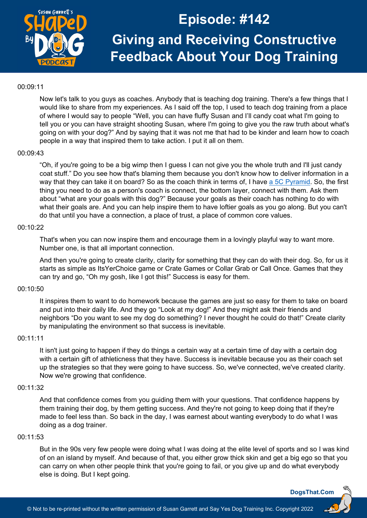

#### 00:09:11

Now let's talk to you guys as coaches. Anybody that is teaching dog training. There's a few things that I would like to share from my experiences. As I said off the top, I used to teach dog training from a place of where I would say to people "Well, you can have fluffy Susan and I'll candy coat what I'm going to tell you or you can have straight shooting Susan, where I'm going to give you the raw truth about what's going on with your dog?" And by saying that it was not me that had to be kinder and learn how to coach people in a way that inspired them to take action. I put it all on them.

## 00:09:43

"Oh, if you're going to be a big wimp then I guess I can not give you the whole truth and I'll just candy coat stuff." Do you see how that's blaming them because you don't know how to deliver information in a way that they can take it on board? So as the coach think in terms of, I have a [5C Pyramid.](https://dogsthat.com/podcast/21/) So, the first thing you need to do as a person's coach is connect, the bottom layer, connect with them. Ask them about "what are your goals with this dog?" Because your goals as their coach has nothing to do with what their goals are. And you can help inspire them to have loftier goals as you go along. But you can't do that until you have a connection, a place of trust, a place of common core values.

## 00:10:22

That's when you can now inspire them and encourage them in a lovingly playful way to want more. Number one, is that all important connection.

And then you're going to create clarity, clarity for something that they can do with their dog. So, for us it starts as simple as ItsYerChoice game or Crate Games or Collar Grab or Call Once. Games that they can try and go, "Oh my gosh, like I got this!" Success is easy for them.

## 00:10:50

It inspires them to want to do homework because the games are just so easy for them to take on board and put into their daily life. And they go "Look at my dog!" And they might ask their friends and neighbors "Do you want to see my dog do something? I never thought he could do that!" Create clarity by manipulating the environment so that success is inevitable.

#### 00:11:11

It isn't just going to happen if they do things a certain way at a certain time of day with a certain dog with a certain gift of athleticness that they have. Success is inevitable because you as their coach set up the strategies so that they were going to have success. So, we've connected, we've created clarity. Now we're growing that confidence.

## 00:11:32

And that confidence comes from you guiding them with your questions. That confidence happens by them training their dog, by them getting success. And they're not going to keep doing that if they're made to feel less than. So back in the day, I was earnest about wanting everybody to do what I was doing as a dog trainer.

## 00:11:53

But in the 90s very few people were doing what I was doing at the elite level of sports and so I was kind of on an island by myself. And because of that, you either grow thick skin and get a big ego so that you can carry on when other people think that you're going to fail, or you give up and do what everybody else is doing. But I kept going.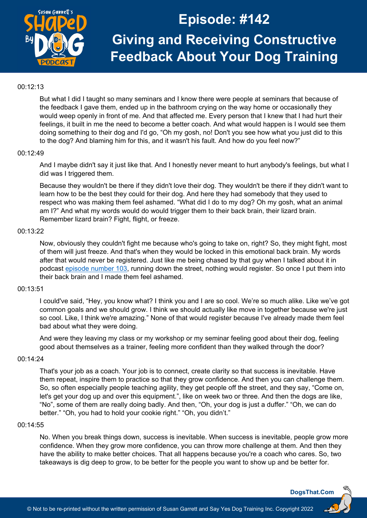

## 00:12:13

But what I did I taught so many seminars and I know there were people at seminars that because of the feedback I gave them, ended up in the bathroom crying on the way home or occasionally they would weep openly in front of me. And that affected me. Every person that I knew that I had hurt their feelings, it built in me the need to become a better coach. And what would happen is I would see them doing something to their dog and I'd go, "Oh my gosh, no! Don't you see how what you just did to this to the dog? And blaming him for this, and it wasn't his fault. And how do you feel now?"

# 00:12:49

And I maybe didn't say it just like that. And I honestly never meant to hurt anybody's feelings, but what I did was I triggered them.

Because they wouldn't be there if they didn't love their dog. They wouldn't be there if they didn't want to learn how to be the best they could for their dog. And here they had somebody that they used to respect who was making them feel ashamed. "What did I do to my dog? Oh my gosh, what an animal am I?" And what my words would do would trigger them to their back brain, their lizard brain. Remember lizard brain? Fight, flight, or freeze.

## 00:13:22

Now, obviously they couldn't fight me because who's going to take on, right? So, they might fight, most of them will just freeze. And that's when they would be locked in this emotional back brain. My words after that would never be registered. Just like me being chased by that guy when I talked about it in podcast episode [number 103,](https://dogsthat.com/podcast/103/) running down the street, nothing would register. So once I put them into their back brain and I made them feel ashamed.

# 00:13:51

I could've said, "Hey, you know what? I think you and I are so cool. We're so much alike. Like we've got common goals and we should grow. I think we should actually like move in together because we're just so cool. Like, I think we're amazing." None of that would register because I've already made them feel bad about what they were doing.

And were they leaving my class or my workshop or my seminar feeling good about their dog, feeling good about themselves as a trainer, feeling more confident than they walked through the door?

#### 00:14:24

That's your job as a coach. Your job is to connect, create clarity so that success is inevitable. Have them repeat, inspire them to practice so that they grow confidence. And then you can challenge them. So, so often especially people teaching agility, they get people off the street, and they say, "Come on, let's get your dog up and over this equipment.", like on week two or three. And then the dogs are like, "No", some of them are really doing badly. And then, "Oh, your dog is just a duffer." "Oh, we can do better." "Oh, you had to hold your cookie right." "Oh, you didn't."

## 00:14:55

No. When you break things down, success is inevitable. When success is inevitable, people grow more confidence. When they grow more confidence, you can throw more challenge at them. And then they have the ability to make better choices. That all happens because you're a coach who cares. So, two takeaways is dig deep to grow, to be better for the people you want to show up and be better for.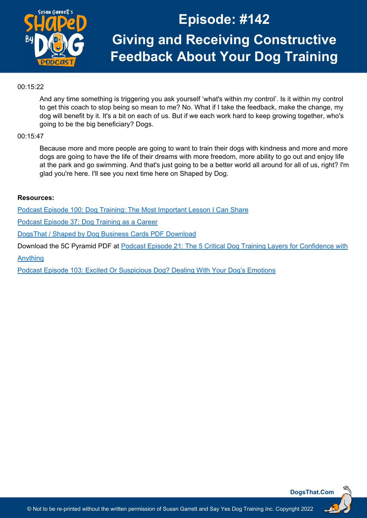

# 00:15:22

And any time something is triggering you ask yourself 'what's within my control'. Is it within my control to get this coach to stop being so mean to me? No. What if I take the feedback, make the change, my dog will benefit by it. It's a bit on each of us. But if we each work hard to keep growing together, who's going to be the big beneficiary? Dogs.

# 00:15:47

Because more and more people are going to want to train their dogs with kindness and more and more dogs are going to have the life of their dreams with more freedom, more ability to go out and enjoy life at the park and go swimming. And that's just going to be a better world all around for all of us, right? I'm glad you're here. I'll see you next time here on Shaped by Dog.

# **Resources:**

[Podcast Episode 100: Dog Training: The Most Important Lesson I Can Share](https://dogsthat.com/podcast/100/)

[Podcast Episode 37: Dog Training as a Career](https://dogsthat.com/podcast/37/)

[DogsThat / Shaped by Dog Business Cards](https://dogsthat.com/business-cards/) PDF Download

Download the 5C Pyramid PDF at [Podcast Episode 21: The 5 Critical Dog Training Layers for Confidence with](https://dogsthat.com/podcast/21/)

[Anything](https://dogsthat.com/podcast/21/)

[Podcast Episode 103: Excited Or Suspicious Dog? Dealing With Your Dog's Emotions](https://dogsthat.com/podcast/103/)